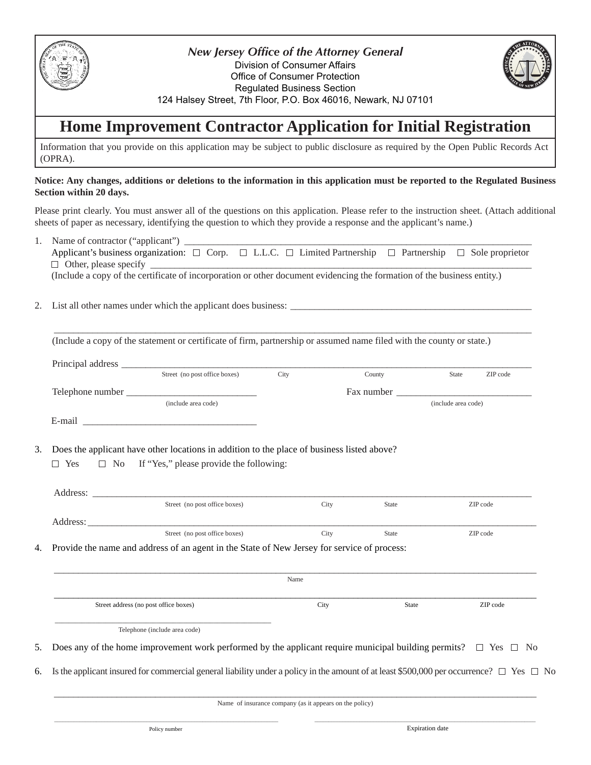

*New Jersey Office of the Attorney General* Division of Consumer Affairs Office of Consumer Protection Regulated Business Section 124 Halsey Street, 7th Floor, P.O. Box 46016, Newark, NJ 07101

## **Home Improvement Contractor Application for Initial Registration**

Information that you provide on this application may be subject to public disclosure as required by the Open Public Records Act (OPRA).

#### **Notice: Any changes, additions or deletions to the information in this application must be reported to the Regulated Business Section within 20 days.**

Please print clearly. You must answer all of the questions on this application. Please refer to the instruction sheet. (Attach additional sheets of paper as necessary, identifying the question to which they provide a response and the applicant's name.)

- 1. Name of contractor ("applicant") Applicant's business organization:  $\square$  Corp.  $\square$  L.L.C.  $\square$  Limited Partnership  $\square$  Partnership  $\square$  Sole proprietor  $\Box$  Other, please specify (Include a copy of the certificate of incorporation or other document evidencing the formation of the business entity.)
- 2. List all other names under which the applicant does business:

| (Include a copy of the statement or certificate of firm, partnership or assumed name filed with the county or state.) |  |  |
|-----------------------------------------------------------------------------------------------------------------------|--|--|
|                                                                                                                       |  |  |

| Principal address |                               |      |            |                     |          |  |
|-------------------|-------------------------------|------|------------|---------------------|----------|--|
|                   | Street (no post office boxes) | City | County     | <b>State</b>        | ZIP code |  |
| Telephone number  |                               |      | Fax number |                     |          |  |
|                   | (include area code)           |      |            | (include area code) |          |  |
| E-mail            |                               |      |            |                     |          |  |

 $\_$  ,  $\_$  ,  $\_$  ,  $\_$  ,  $\_$  ,  $\_$  ,  $\_$  ,  $\_$  ,  $\_$  ,  $\_$  ,  $\_$  ,  $\_$  ,  $\_$  ,  $\_$  ,  $\_$  ,  $\_$  ,  $\_$  ,  $\_$  ,  $\_$  ,  $\_$  ,  $\_$  ,  $\_$  ,  $\_$  ,  $\_$  ,  $\_$  ,  $\_$  ,  $\_$  ,  $\_$  ,  $\_$  ,  $\_$  ,  $\_$  ,  $\_$  ,  $\_$  ,  $\_$  ,  $\_$  ,  $\_$  ,  $\_$  ,

3. Does the applicant have other locations in addition to the place of business listed above?

 $\Box$  Yes  $\Box$  No If "Yes," please provide the following:

|          | $\mathbf{D}$ , that is a state of the contract of the contract of the contract of the contract of the contract of the contract of the contract of the contract of the contract of the contract of the contract of the contract of |      |              |          |
|----------|-----------------------------------------------------------------------------------------------------------------------------------------------------------------------------------------------------------------------------------|------|--------------|----------|
|          | Street (no post office boxes)                                                                                                                                                                                                     | City | <b>State</b> | ZIP code |
| Address: |                                                                                                                                                                                                                                   |      |              |          |
|          | Street (no post office boxes)                                                                                                                                                                                                     | City | <b>State</b> | ZIP code |
| Address: |                                                                                                                                                                                                                                   |      |              |          |

4. Provide the name and address of an agent in the State of New Jersey for service of process:

\_\_\_\_\_\_\_\_\_\_\_\_\_\_\_\_\_\_\_\_\_\_\_\_\_\_\_\_\_\_\_\_\_\_\_\_\_\_\_\_\_\_\_\_\_\_\_\_\_\_\_\_\_\_\_\_\_\_\_\_\_\_\_\_\_\_\_\_\_\_\_\_\_\_\_\_\_\_\_\_\_\_\_\_\_\_\_\_\_\_\_\_\_\_\_\_\_\_\_\_ Name \_\_\_\_\_\_\_\_\_\_\_\_\_\_\_\_\_\_\_\_\_\_\_\_\_\_\_\_\_\_\_\_\_\_\_\_\_\_\_\_\_\_\_\_\_\_\_\_\_\_\_\_\_\_\_\_\_\_\_\_\_\_\_\_\_\_\_\_\_\_\_\_\_\_\_\_\_\_\_\_\_\_\_\_\_\_\_\_\_\_\_\_\_\_\_\_\_\_\_\_ Street address (no post office boxes) City State 2IP code \_\_\_\_\_\_\_\_\_\_\_\_\_\_\_\_\_\_\_\_\_\_\_\_\_\_\_\_\_\_\_\_\_\_\_\_\_\_\_\_\_\_\_\_\_\_\_\_\_\_\_\_\_\_\_\_\_\_\_\_\_\_\_\_ Telephone (include area code) 5. Does any of the home improvement work performed by the applicant require municipal building permits?  $\Box$  Yes  $\Box$  No 6. Is the applicant insured for commercial general liability under a policy in the amount of at least \$500,000 per occurrence?  $\Box$  Yes  $\Box$  No

\_\_\_\_\_\_\_\_\_\_\_\_\_\_\_\_\_\_\_\_\_\_\_\_\_\_\_\_\_\_\_\_\_\_\_\_\_\_\_\_\_\_\_\_\_\_\_\_\_\_\_\_\_\_\_\_\_\_\_\_\_\_\_\_\_\_\_\_\_\_\_\_\_\_\_\_\_\_\_\_\_\_\_\_\_\_\_\_\_\_\_\_\_\_\_\_\_\_\_\_ Name of insurance company (as it appears on the policy) \_\_\_\_\_\_\_\_\_\_\_\_\_\_\_\_\_\_\_\_\_\_\_\_\_\_\_\_\_\_\_\_\_\_\_\_\_\_\_\_\_\_\_\_\_\_\_\_\_\_\_\_\_\_\_\_\_\_\_\_\_\_\_\_\_\_\_\_\_\_\_\_\_\_\_\_\_\_\_\_ \_\_\_\_\_\_\_\_\_\_\_\_\_\_\_\_\_\_\_\_\_\_\_\_\_\_\_\_\_\_\_\_\_\_\_\_\_\_\_\_\_\_\_\_\_\_\_\_\_\_\_\_\_\_\_\_\_\_\_\_\_\_\_\_\_\_\_\_\_\_\_\_\_\_\_\_\_\_\_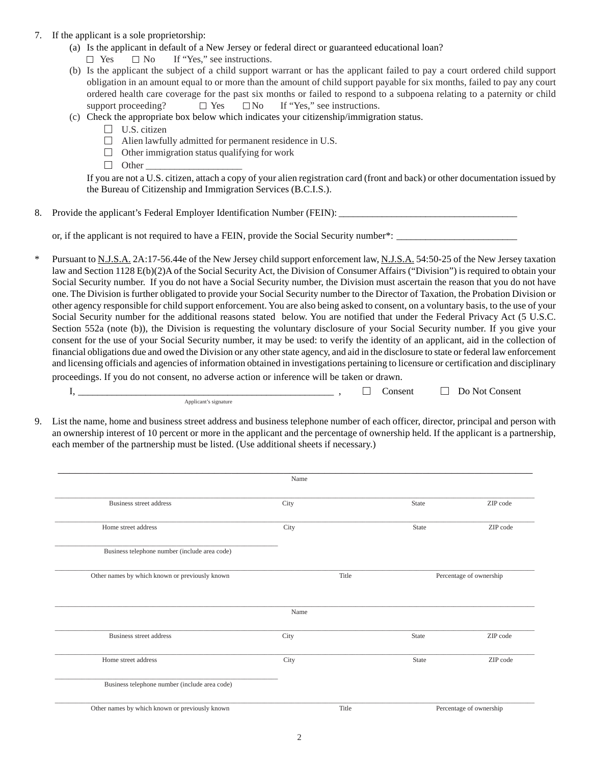- 7. If the applicant is a sole proprietorship:
	- (a) Is the applicant in default of a New Jersey or federal direct or guaranteed educational loan?
		- $\Box$  Yes  $\Box$  No If "Yes," see instructions.
	- (b) Is the applicant the subject of a child support warrant or has the applicant failed to pay a court ordered child support obligation in an amount equal to or more than the amount of child support payable for six months, failed to pay any court ordered health care coverage for the past six months or failed to respond to a subpoena relating to a paternity or child support proceeding?  $\Box$  Yes  $\Box$  No If "Yes," see instructions.
	- (c) Check the appropriate box below which indicates your citizenship/immigration status.
		- $\Box$  U.S. citizen
		- Alien lawfully admitted for permanent residence in U.S.
		- $\Box$  Other immigration status qualifying for work
		- $\Box$  Other

If you are not a U.S. citizen, attach a copy of your alien registration card (front and back) or other documentation issued by the Bureau of Citizenship and Immigration Services (B.C.I.S.).

8. Provide the applicant's Federal Employer Identification Number (FEIN): \_\_\_\_\_\_\_\_\_\_\_\_\_\_\_\_\_\_\_\_\_\_\_\_\_\_\_\_\_\_\_\_\_\_\_\_\_

or, if the applicant is not required to have a FEIN, provide the Social Security number\*:

\* Pursuant to N.J.S.A. 2A:17-56.44e of the New Jersey child support enforcement law, N.J.S.A. 54:50-25 of the New Jersey taxation law and Section 1128 E(b)(2)A of the Social Security Act, the Division of Consumer Affairs ("Division") is required to obtain your Social Security number. If you do not have a Social Security number, the Division must ascertain the reason that you do not have one. The Division is further obligated to provide your Social Security number to the Director of Taxation, the Probation Division or other agency responsible for child support enforcement. You are also being asked to consent, on a voluntary basis, to the use of your Social Security number for the additional reasons stated below. You are notified that under the Federal Privacy Act (5 U.S.C. Section 552a (note (b)), the Division is requesting the voluntary disclosure of your Social Security number. If you give your consent for the use of your Social Security number, it may be used: to verify the identity of an applicant, aid in the collection of financial obligations due and owed the Division or any other state agency, and aid in the disclosure to state or federal law enforcement and licensing officials and agencies of information obtained in investigations pertaining to licensure or certification and disciplinary

proceedings. If you do not consent, no adverse action or inference will be taken or drawn.

Applicant's signature

 $I, \_\_\_\_\_\_$  ,  $\_\_\_\_\_\$  Consent  $\_\_\_\_$  Do Not Consent

9. List the name, home and business street address and business telephone number of each officer, director, principal and person with an ownership interest of 10 percent or more in the applicant and the percentage of ownership held. If the applicant is a partnership, each member of the partnership must be listed. (Use additional sheets if necessary.)

|                                                | Name  |       |                         |  |
|------------------------------------------------|-------|-------|-------------------------|--|
| Business street address                        | City  | State | ZIP code                |  |
| Home street address                            | City  | State | ZIP code                |  |
| Business telephone number (include area code)  |       |       |                         |  |
| Other names by which known or previously known | Title |       | Percentage of ownership |  |
|                                                | Name  |       |                         |  |
| Business street address                        | City  | State | ZIP code                |  |
| Home street address                            | City  | State | ZIP code                |  |
| Business telephone number (include area code)  |       |       |                         |  |
| Other names by which known or previously known | Title |       | Percentage of ownership |  |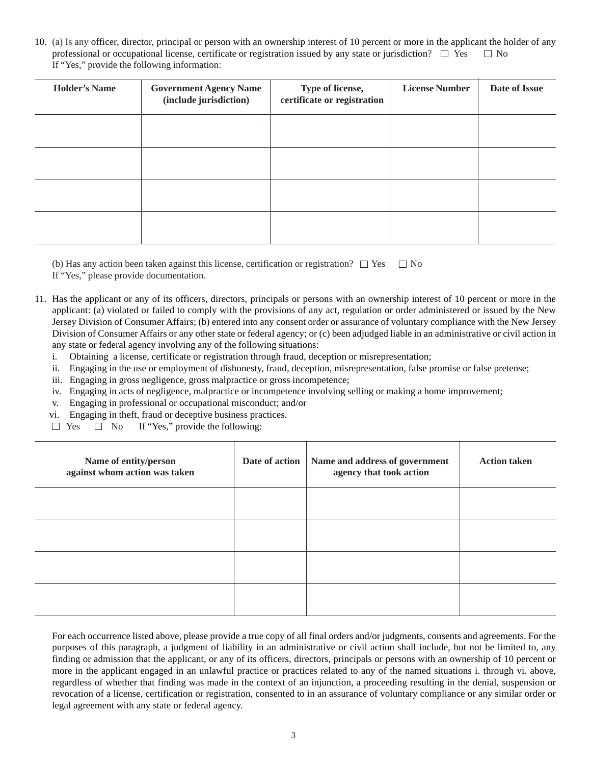10. (a) Is any officer, director, principal or person with an ownership interest of 10 percent or more in the applicant the holder of any professional or occupational license, certificate or registration issued by any state or jurisdiction?  $\Box$  Yes  $\Box$  No If "Yes," provide the following information:

| <b>Holder's Name</b> | <b>Government Agency Name</b><br>(include jurisdiction) | Type of license,<br>certificate or registration | <b>License Number</b> | Date of Issue |
|----------------------|---------------------------------------------------------|-------------------------------------------------|-----------------------|---------------|
|                      |                                                         |                                                 |                       |               |
|                      |                                                         |                                                 |                       |               |
|                      |                                                         |                                                 |                       |               |
|                      |                                                         |                                                 |                       |               |

(b) Has any action been taken against this license, certification or registration?  $\Box$  Yes  $\Box$  No If "Yes," please provide documentation.

- 11. Has the applicant or any of its officers, directors, principals or persons with an ownership interest of 10 percent or more in the applicant: (a) violated or failed to comply with the provisions of any act, regulation or order administered or issued by the New Jersey Division of Consumer Affairs; (b) entered into any consent order or assurance of voluntary compliance with the New Jersey Division of Consumer Affairs or any other state or federal agency; or (c) been adjudged liable in an administrative or civil action in any state or federal agency involving any of the following situations:
	- i. Obtaining a license, certificate or registration through fraud, deception or misrepresentation;
	- ii. Engaging in the use or employment of dishonesty, fraud, deception, misrepresentation, false promise or false pretense;
	- iii. Engaging in gross negligence, gross malpractice or gross incompetence;
	- iv. Engaging in acts of negligence, malpractice or incompetence involving selling or making a home improvement;
	- v. Engaging in professional or occupational misconduct; and/or
	- vi. Engaging in theft, fraud or deceptive business practices.
	- $\Box$  Yes  $\Box$  No If "Yes," provide the following:

| Name of entity/person<br>against whom action was taken | Date of action | Name and address of government<br>agency that took action | <b>Action taken</b> |
|--------------------------------------------------------|----------------|-----------------------------------------------------------|---------------------|
|                                                        |                |                                                           |                     |
|                                                        |                |                                                           |                     |
|                                                        |                |                                                           |                     |
|                                                        |                |                                                           |                     |

For each occurrence listed above, please provide a true copy of all final orders and/or judgments, consents and agreements. For the purposes of this paragraph, a judgment of liability in an administrative or civil action shall include, but not be limited to, any finding or admission that the applicant, or any of its officers, directors, principals or persons with an ownership of 10 percent or more in the applicant engaged in an unlawful practice or practices related to any of the named situations i. through vi. above, regardless of whether that finding was made in the context of an injunction, a proceeding resulting in the denial, suspension or revocation of a license, certification or registration, consented to in an assurance of voluntary compliance or any similar order or legal agreement with any state or federal agency.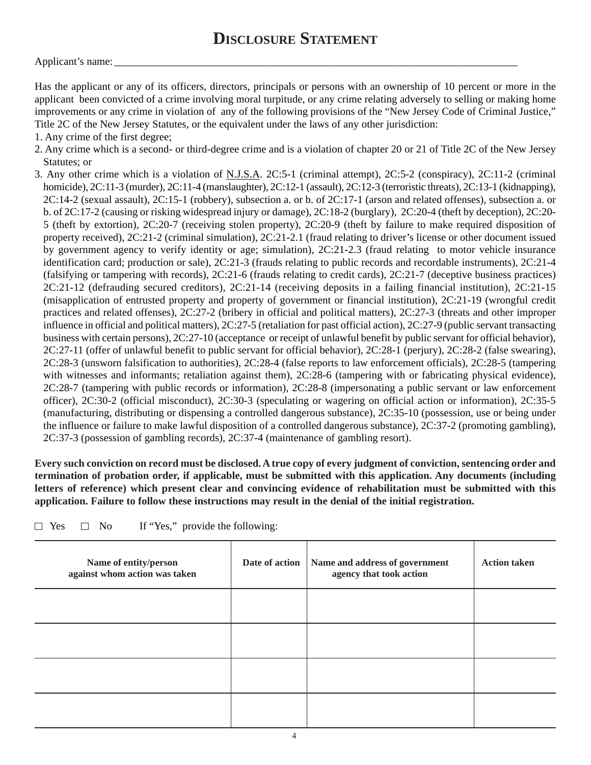#### Applicant's name:

Has the applicant or any of its officers, directors, principals or persons with an ownership of 10 percent or more in the applicant been convicted of a crime involving moral turpitude, or any crime relating adversely to selling or making home improvements or any crime in violation of any of the following provisions of the "New Jersey Code of Criminal Justice," Title 2C of the New Jersey Statutes, or the equivalent under the laws of any other jurisdiction:

- 1. Any crime of the first degree;
- 2. Any crime which is a second- or third-degree crime and is a violation of chapter 20 or 21 of Title 2C of the New Jersey Statutes; or
- 3. Any other crime which is a violation of N.J.S.A. 2C:5-1 (criminal attempt), 2C:5-2 (conspiracy), 2C:11-2 (criminal homicide), 2C:11-3 (murder), 2C:11-4 (manslaughter), 2C:12-1 (assault), 2C:12-3 (terroristic threats), 2C:13-1 (kidnapping),  $2C:14-2$  (sexual assault),  $2C:15-1$  (robbery), subsection a. or b. of  $2C:17-1$  (arson and related offenses), subsection a. or b. of 2C:17-2 (causing or risking widespread injury or damage), 2C:18-2 (burglary), 2C:20-4 (theft by deception), 2C:20- 5 (theft by extortion), 2C:20-7 (receiving stolen property), 2C:20-9 (theft by failure to make required disposition of property received), 2C:21-2 (criminal simulation), 2C:21-2.1 (fraud relating to driver's license or other document issued by government agency to verify identity or age; simulation), 2C:21-2.3 (fraud relating to motor vehicle insurance identification card; production or sale), 2C:21-3 (frauds relating to public records and recordable instruments), 2C:21-4 (falsifying or tampering with records), 2C:21-6 (frauds relating to credit cards), 2C:21-7 (deceptive business practices) 2C:21-12 (defrauding secured creditors), 2C:21-14 (receiving deposits in a failing financial institution), 2C:21-15 (misapplication of entrusted property and property of government or financial institution), 2C:21-19 (wrongful credit practices and related offenses), 2C:27-2 (bribery in official and political matters), 2C:27-3 (threats and other improper influence in official and political matters), 2C:27-5 (retaliation for past official action), 2C:27-9 (public servant transacting business with certain persons), 2C:27-10 (acceptance or receipt of unlawful benefit by public servant for official behavior), 2C:27-11 (offer of unlawful benefit to public servant for official behavior), 2C:28-1 (perjury), 2C:28-2 (false swearing), 2C:28-3 (unsworn falsification to authorities), 2C:28-4 (false reports to law enforcement officials), 2C:28-5 (tampering with witnesses and informants; retaliation against them), 2C:28-6 (tampering with or fabricating physical evidence), 2C:28-7 (tampering with public records or information), 2C:28-8 (impersonating a public servant or law enforcement officer), 2C:30-2 (official misconduct), 2C:30-3 (speculating or wagering on official action or information), 2C:35-5 (manufacturing, distributing or dispensing a controlled dangerous substance), 2C:35-10 (possession, use or being under the influence or failure to make lawful disposition of a controlled dangerous substance), 2C:37-2 (promoting gambling), 2C:37-3 (possession of gambling records), 2C:37-4 (maintenance of gambling resort).

**Every such conviction on record must be disclosed. A true copy of every judgment of conviction, sentencing order and termination of probation order, if applicable, must be submitted with this application. Any documents (including letters of reference) which present clear and convincing evidence of rehabilitation must be submitted with this application. Failure to follow these instructions may result in the denial of the initial registration.**

| If "Yes," provide the following:<br>$\Box$ Yes<br>$\Box$ No |  |
|-------------------------------------------------------------|--|
|-------------------------------------------------------------|--|

| Name of entity/person<br>against whom action was taken | Date of action | Name and address of government<br>agency that took action | <b>Action taken</b> |
|--------------------------------------------------------|----------------|-----------------------------------------------------------|---------------------|
|                                                        |                |                                                           |                     |
|                                                        |                |                                                           |                     |
|                                                        |                |                                                           |                     |
|                                                        |                |                                                           |                     |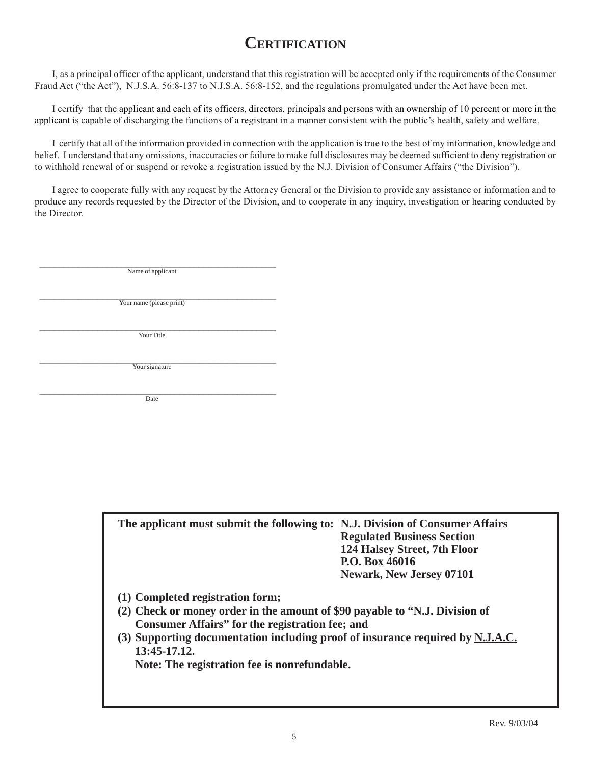# **CERTIFICATION**

I, as a principal officer of the applicant, understand that this registration will be accepted only if the requirements of the Consumer Fraud Act ("the Act"), N.J.S.A. 56:8-137 to N.J.S.A. 56:8-152, and the regulations promulgated under the Act have been met.

I certify that the applicant and each of its officers, directors, principals and persons with an ownership of 10 percent or more in the applicant is capable of discharging the functions of a registrant in a manner consistent with the public's health, safety and welfare.

I certify that all of the information provided in connection with the application is true to the best of my information, knowledge and belief. I understand that any omissions, inaccuracies or failure to make full disclosures may be deemed sufficient to deny registration or to withhold renewal of or suspend or revoke a registration issued by the N.J. Division of Consumer Affairs ("the Division").

I agree to cooperate fully with any request by the Attorney General or the Division to provide any assistance or information and to produce any records requested by the Director of the Division, and to cooperate in any inquiry, investigation or hearing conducted by the Director.

\_\_\_\_\_\_\_\_\_\_\_\_\_\_\_\_\_\_\_\_\_\_\_\_\_\_\_\_\_\_\_\_\_\_\_\_\_\_\_\_\_\_\_\_\_\_\_\_\_ Name of applicant

Your name (please print)

\_\_\_\_\_\_\_\_\_\_\_\_\_\_\_\_\_\_\_\_\_\_\_\_\_\_\_\_\_\_\_\_\_\_\_\_\_\_\_\_\_\_\_\_\_\_\_\_\_ Your Title

\_\_\_\_\_\_\_\_\_\_\_\_\_\_\_\_\_\_\_\_\_\_\_\_\_\_\_\_\_\_\_\_\_\_\_\_\_\_\_\_\_\_\_\_\_\_\_\_\_ Your signature

 $\Box$  Date

| The applicant must submit the following to: N.J. Division of Consumer Affairs | <b>Regulated Business Section</b><br>124 Halsey Street, 7th Floor |
|-------------------------------------------------------------------------------|-------------------------------------------------------------------|
|                                                                               | P.O. Box 46016<br><b>Newark, New Jersey 07101</b>                 |

- **(1) Completed registration form;**
- **(2) Check or money order in the amount of \$90 payable to "N.J. Division of Consumer Affairs" for the registration fee; and**
- **(3) Supporting documentation including proof of insurance required by N.J.A.C. 13:45-17.12.**

**Note: The registration fee is nonrefundable.**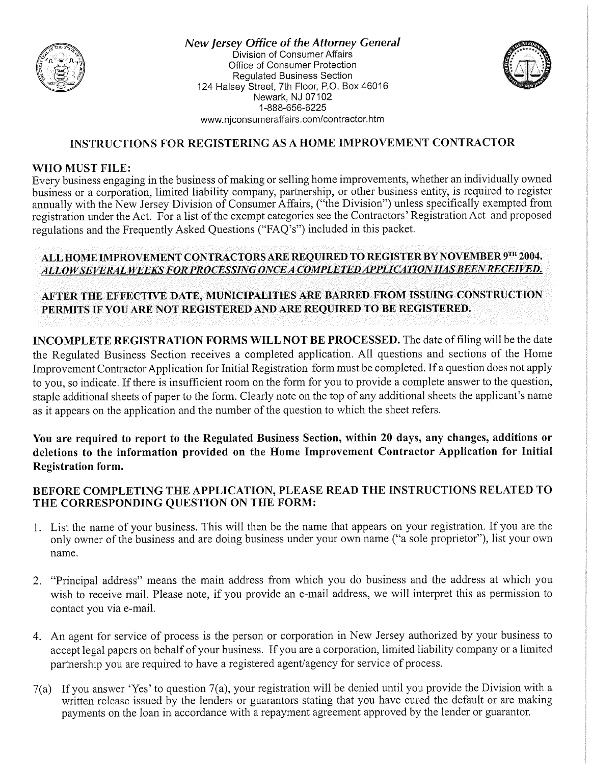

New Jersey Office of the Attorney General Division of Consumer Affairs Office of Consumer Protection **Regulated Business Section** 124 Halsey Street, 7th Floor, P.O. Box 46016 Newark, NJ 07102 1-888-656-6225 www.njconsumeraffairs.com/contractor.htm



#### **INSTRUCTIONS FOR REGISTERING AS A HOME IMPROVEMENT CONTRACTOR**

#### **WHO MUST FILE:**

Every business engaging in the business of making or selling home improvements, whether an individually owned business or a corporation, limited liability company, partnership, or other business entity, is required to register annually with the New Jersey Division of Consumer Affairs, ("the Division") unless specifically exempted from registration under the Act. For a list of the exempt categories see the Contractors' Registration Act and proposed regulations and the Frequently Asked Questions ("FAQ's") included in this packet.

#### ALL HOME IMPROVEMENT CONTRACTORS ARE REQUIRED TO REGISTER BY NOVEMBER 9TH 2004. ALLOW SEVERAL WEEKS FOR PROCESSING ONCE A COMPLETED APPLICATION HAS BEEN RECEIVED.

### AFTER THE EFFECTIVE DATE, MUNICIPALITIES ARE BARRED FROM ISSUING CONSTRUCTION PERMITS IF YOU ARE NOT REGISTERED AND ARE REQUIRED TO BE REGISTERED.

**INCOMPLETE REGISTRATION FORMS WILL NOT BE PROCESSED.** The date of filing will be the date the Regulated Business Section receives a completed application. All questions and sections of the Home Improvement Contractor Application for Initial Registration form must be completed. If a question does not apply to you, so indicate. If there is insufficient room on the form for you to provide a complete answer to the question, staple additional sheets of paper to the form. Clearly note on the top of any additional sheets the applicant's name as it appears on the application and the number of the question to which the sheet refers.

You are required to report to the Regulated Business Section, within 20 days, any changes, additions or deletions to the information provided on the Home Improvement Contractor Application for Initial **Registration form.** 

#### BEFORE COMPLETING THE APPLICATION, PLEASE READ THE INSTRUCTIONS RELATED TO THE CORRESPONDING QUESTION ON THE FORM:

- 1. List the name of your business. This will then be the name that appears on your registration. If you are the only owner of the business and are doing business under your own name ("a sole proprietor"), list your own name.
- 2. "Principal address" means the main address from which you do business and the address at which you wish to receive mail. Please note, if you provide an e-mail address, we will interpret this as permission to contact you via e-mail.
- 4. An agent for service of process is the person or corporation in New Jersey authorized by your business to accept legal papers on behalf of your business. If you are a corporation, limited liability company or a limited partnership you are required to have a registered agent/agency for service of process.
- 7(a) If you answer 'Yes' to question 7(a), your registration will be denied until you provide the Division with a written release issued by the lenders or guarantors stating that you have cured the default or are making payments on the loan in accordance with a repayment agreement approved by the lender or guarantor.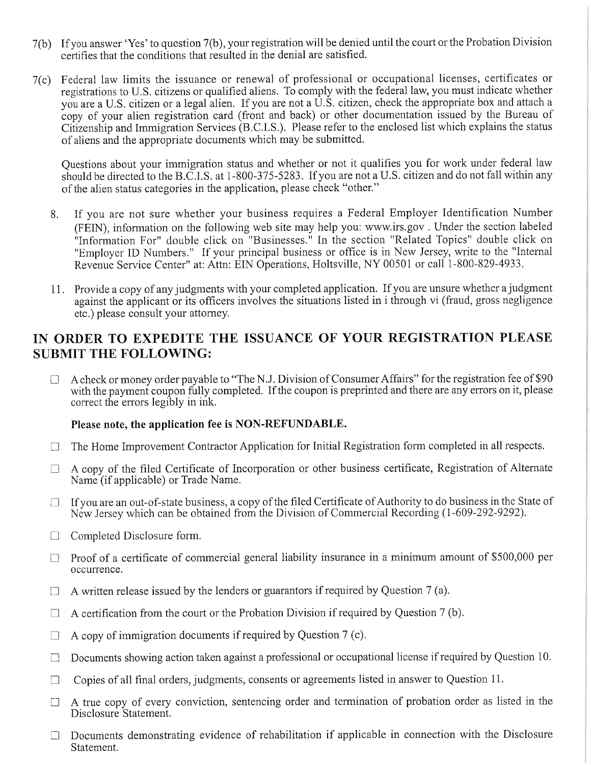- 7(b) If you answer 'Yes' to question 7(b), your registration will be denied until the court or the Probation Division certifies that the conditions that resulted in the denial are satisfied.
- 7(c) Federal law limits the issuance or renewal of professional or occupational licenses, certificates or registrations to U.S. citizens or qualified aliens. To comply with the federal law, you must indicate whether you are a U.S. citizen or a legal alien. If you are not a U.S. citizen, check the appropriate box and attach a copy of your alien registration card (front and back) or other documentation issued by the Bureau of Citizenship and Immigration Services (B.C.I.S.). Please refer to the enclosed list which explains the status of aliens and the appropriate documents which may be submitted.

Questions about your immigration status and whether or not it qualifies you for work under federal law should be directed to the B.C.I.S. at 1-800-375-5283. If you are not a U.S. citizen and do not fall within any of the alien status categories in the application, please check "other."

- If you are not sure whether your business requires a Federal Employer Identification Number 8. (FEIN), information on the following web site may help you: www.irs.gov. Under the section labeled "Information For" double click on "Businesses." In the section "Related Topics" double click on "Employer ID Numbers." If your principal business or office is in New Jersey, write to the "Internal Revenue Service Center" at: Attn: EIN Operations, Holtsville, NY 00501 or call 1-800-829-4933.
- 11. Provide a copy of any judgments with your completed application. If you are unsure whether a judgment against the applicant or its officers involves the situations listed in i through vi (fraud, gross negligence etc.) please consult your attorney.

## IN ORDER TO EXPEDITE THE ISSUANCE OF YOUR REGISTRATION PLEASE **SUBMIT THE FOLLOWING:**

A check or money order payable to "The N.J. Division of Consumer Affairs" for the registration fee of \$90  $\Box$ with the payment coupon fully completed. If the coupon is preprinted and there are any errors on it, please correct the errors legibly in ink.

#### Please note, the application fee is NON-REFUNDABLE.

- The Home Improvement Contractor Application for Initial Registration form completed in all respects.  $\Box$
- A copy of the filed Certificate of Incorporation or other business certificate, Registration of Alternate  $\Box$ Name (if applicable) or Trade Name.
- If you are an out-of-state business, a copy of the filed Certificate of Authority to do business in the State of  $\Box$ New Jersey which can be obtained from the Division of Commercial Recording (1-609-292-9292).
- $\Box$ Completed Disclosure form.
- Proof of a certificate of commercial general liability insurance in a minimum amount of \$500,000 per  $\Box$ occurrence.
- $\Box$  A written release issued by the lenders or guarantors if required by Question 7 (a).
- A certification from the court or the Probation Division if required by Question 7 (b).  $\Box$
- A copy of immigration documents if required by Question 7 (c).  $\Box$
- Documents showing action taken against a professional or occupational license if required by Question 10.  $\Box$
- Copies of all final orders, judgments, consents or agreements listed in answer to Question 11.  $\Box$
- A true copy of every conviction, sentencing order and termination of probation order as listed in the  $\Box$ Disclosure Statement.
- Documents demonstrating evidence of rehabilitation if applicable in connection with the Disclosure  $\Box$ Statement.